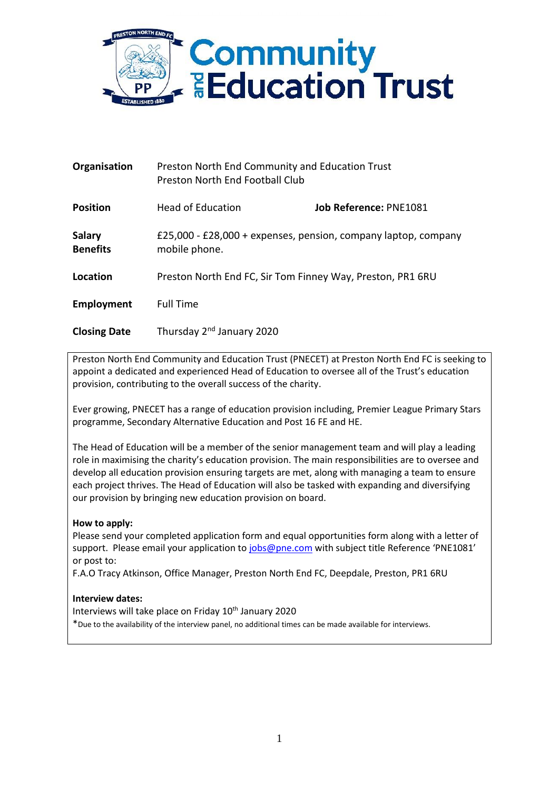

| Organisation                     | Preston North End Community and Education Trust<br><b>Preston North End Football Club</b> |                                                                |
|----------------------------------|-------------------------------------------------------------------------------------------|----------------------------------------------------------------|
| <b>Position</b>                  | <b>Head of Education</b>                                                                  | <b>Job Reference: PNE1081</b>                                  |
| <b>Salary</b><br><b>Benefits</b> | mobile phone.                                                                             | £25,000 - £28,000 + expenses, pension, company laptop, company |
| Location                         |                                                                                           | Preston North End FC, Sir Tom Finney Way, Preston, PR1 6RU     |
| Employment                       | <b>Full Time</b>                                                                          |                                                                |
| <b>Closing Date</b>              | Thursday 2 <sup>nd</sup> January 2020                                                     |                                                                |

Preston North End Community and Education Trust (PNECET) at Preston North End FC is seeking to appoint a dedicated and experienced Head of Education to oversee all of the Trust's education provision, contributing to the overall success of the charity.

Ever growing, PNECET has a range of education provision including, Premier League Primary Stars programme, Secondary Alternative Education and Post 16 FE and HE.

The Head of Education will be a member of the senior management team and will play a leading role in maximising the charity's education provision. The main responsibilities are to oversee and develop all education provision ensuring targets are met, along with managing a team to ensure each project thrives. The Head of Education will also be tasked with expanding and diversifying our provision by bringing new education provision on board.

## **How to apply:**

Please send your completed application form and equal opportunities form along with a letter of support. Please email your application to [jobs@pne.com](mailto:jobs@pne.com) with subject title Reference 'PNE1081' or post to:

F.A.O Tracy Atkinson, Office Manager, Preston North End FC, Deepdale, Preston, PR1 6RU

## **Interview dates:**

Interviews will take place on Friday 10<sup>th</sup> January 2020

\*Due to the availability of the interview panel, no additional times can be made available for interviews.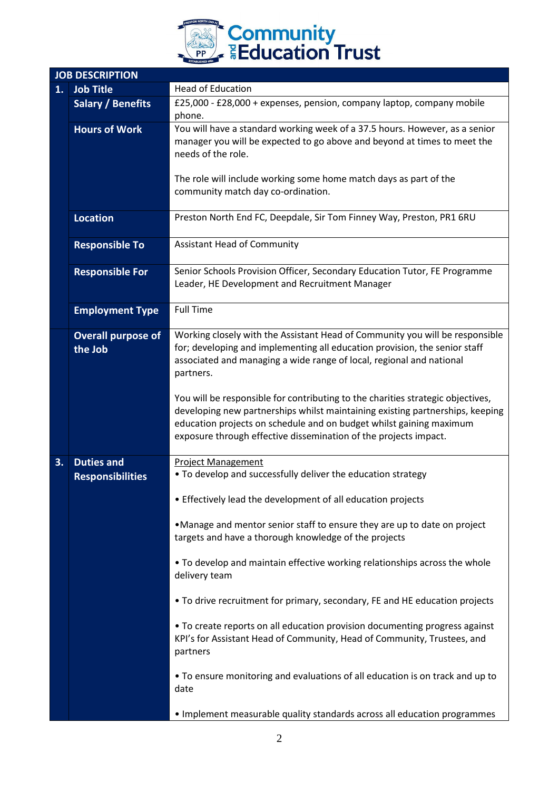

|    | <b>JOB DESCRIPTION</b>                       |                                                                                                                                                                                                                                                                                                             |  |  |
|----|----------------------------------------------|-------------------------------------------------------------------------------------------------------------------------------------------------------------------------------------------------------------------------------------------------------------------------------------------------------------|--|--|
| 1. | <b>Job Title</b>                             | <b>Head of Education</b>                                                                                                                                                                                                                                                                                    |  |  |
|    | <b>Salary / Benefits</b>                     | £25,000 - £28,000 + expenses, pension, company laptop, company mobile<br>phone.                                                                                                                                                                                                                             |  |  |
|    | <b>Hours of Work</b>                         | You will have a standard working week of a 37.5 hours. However, as a senior<br>manager you will be expected to go above and beyond at times to meet the<br>needs of the role.                                                                                                                               |  |  |
|    |                                              | The role will include working some home match days as part of the<br>community match day co-ordination.                                                                                                                                                                                                     |  |  |
|    | <b>Location</b>                              | Preston North End FC, Deepdale, Sir Tom Finney Way, Preston, PR1 6RU                                                                                                                                                                                                                                        |  |  |
|    | <b>Responsible To</b>                        | <b>Assistant Head of Community</b>                                                                                                                                                                                                                                                                          |  |  |
|    | <b>Responsible For</b>                       | Senior Schools Provision Officer, Secondary Education Tutor, FE Programme<br>Leader, HE Development and Recruitment Manager                                                                                                                                                                                 |  |  |
|    | <b>Employment Type</b>                       | <b>Full Time</b>                                                                                                                                                                                                                                                                                            |  |  |
|    | <b>Overall purpose of</b>                    | Working closely with the Assistant Head of Community you will be responsible                                                                                                                                                                                                                                |  |  |
|    | the Job                                      | for; developing and implementing all education provision, the senior staff<br>associated and managing a wide range of local, regional and national<br>partners.                                                                                                                                             |  |  |
|    |                                              | You will be responsible for contributing to the charities strategic objectives,<br>developing new partnerships whilst maintaining existing partnerships, keeping<br>education projects on schedule and on budget whilst gaining maximum<br>exposure through effective dissemination of the projects impact. |  |  |
| 3. | <b>Duties and</b><br><b>Responsibilities</b> | <b>Project Management</b><br>. To develop and successfully deliver the education strategy                                                                                                                                                                                                                   |  |  |
|    |                                              | • Effectively lead the development of all education projects                                                                                                                                                                                                                                                |  |  |
|    |                                              | •Manage and mentor senior staff to ensure they are up to date on project<br>targets and have a thorough knowledge of the projects                                                                                                                                                                           |  |  |
|    |                                              | . To develop and maintain effective working relationships across the whole<br>delivery team                                                                                                                                                                                                                 |  |  |
|    |                                              | • To drive recruitment for primary, secondary, FE and HE education projects                                                                                                                                                                                                                                 |  |  |
|    |                                              | • To create reports on all education provision documenting progress against<br>KPI's for Assistant Head of Community, Head of Community, Trustees, and<br>partners                                                                                                                                          |  |  |
|    |                                              | . To ensure monitoring and evaluations of all education is on track and up to<br>date                                                                                                                                                                                                                       |  |  |
|    |                                              | . Implement measurable quality standards across all education programmes                                                                                                                                                                                                                                    |  |  |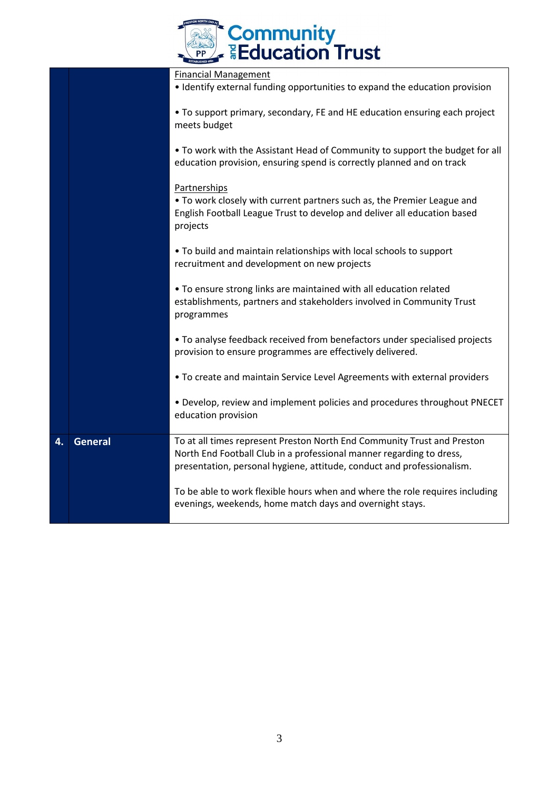|                | <b>Community<br/>- Education Trust</b>                                                                                                                                                                                    |  |
|----------------|---------------------------------------------------------------------------------------------------------------------------------------------------------------------------------------------------------------------------|--|
|                | <b>Financial Management</b><br>• Identify external funding opportunities to expand the education provision                                                                                                                |  |
|                | • To support primary, secondary, FE and HE education ensuring each project<br>meets budget                                                                                                                                |  |
|                | • To work with the Assistant Head of Community to support the budget for all<br>education provision, ensuring spend is correctly planned and on track                                                                     |  |
|                | Partnerships<br>• To work closely with current partners such as, the Premier League and<br>English Football League Trust to develop and deliver all education based<br>projects                                           |  |
|                | . To build and maintain relationships with local schools to support<br>recruitment and development on new projects                                                                                                        |  |
|                | . To ensure strong links are maintained with all education related<br>establishments, partners and stakeholders involved in Community Trust<br>programmes                                                                 |  |
|                | . To analyse feedback received from benefactors under specialised projects<br>provision to ensure programmes are effectively delivered.                                                                                   |  |
|                | . To create and maintain Service Level Agreements with external providers                                                                                                                                                 |  |
|                | • Develop, review and implement policies and procedures throughout PNECET<br>education provision                                                                                                                          |  |
| <b>General</b> | To at all times represent Preston North End Community Trust and Preston<br>North End Football Club in a professional manner regarding to dress,<br>presentation, personal hygiene, attitude, conduct and professionalism. |  |
|                | To be able to work flexible hours when and where the role requires including<br>evenings, weekends, home match days and overnight stays.                                                                                  |  |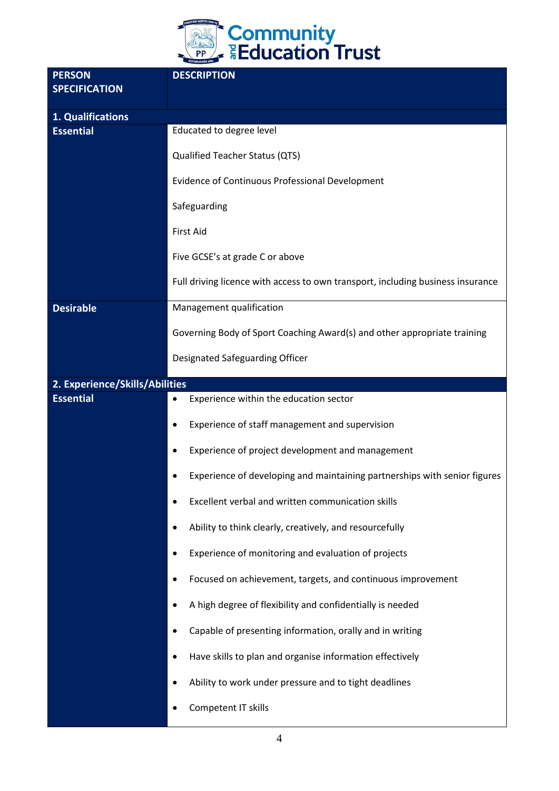

| <b>PERSON</b><br><b>SPECIFICATION</b> | <b>DESCRIPTION</b>                                                                     |
|---------------------------------------|----------------------------------------------------------------------------------------|
| 1. Qualifications                     |                                                                                        |
| <b>Essential</b>                      | Educated to degree level                                                               |
|                                       | <b>Qualified Teacher Status (QTS)</b>                                                  |
|                                       | Evidence of Continuous Professional Development                                        |
|                                       | Safeguarding                                                                           |
|                                       | <b>First Aid</b>                                                                       |
|                                       | Five GCSE's at grade C or above                                                        |
|                                       | Full driving licence with access to own transport, including business insurance        |
| <b>Desirable</b>                      | Management qualification                                                               |
|                                       | Governing Body of Sport Coaching Award(s) and other appropriate training               |
|                                       | Designated Safeguarding Officer                                                        |
| 2. Experience/Skills/Abilities        |                                                                                        |
| <b>Essential</b>                      | Experience within the education sector<br>$\bullet$                                    |
|                                       | Experience of staff management and supervision<br>$\bullet$                            |
|                                       | Experience of project development and management<br>٠                                  |
|                                       | Experience of developing and maintaining partnerships with senior figures<br>$\bullet$ |
|                                       | Excellent verbal and written communication skills<br>$\bullet$                         |
|                                       | Ability to think clearly, creatively, and resourcefully<br>$\bullet$                   |
|                                       | Experience of monitoring and evaluation of projects<br>$\bullet$                       |
|                                       | Focused on achievement, targets, and continuous improvement<br>$\bullet$               |
|                                       | A high degree of flexibility and confidentially is needed<br>$\bullet$                 |
|                                       | Capable of presenting information, orally and in writing<br>$\bullet$                  |
|                                       | Have skills to plan and organise information effectively<br>$\bullet$                  |
|                                       | Ability to work under pressure and to tight deadlines<br>$\bullet$                     |
|                                       | Competent IT skills<br>٠                                                               |